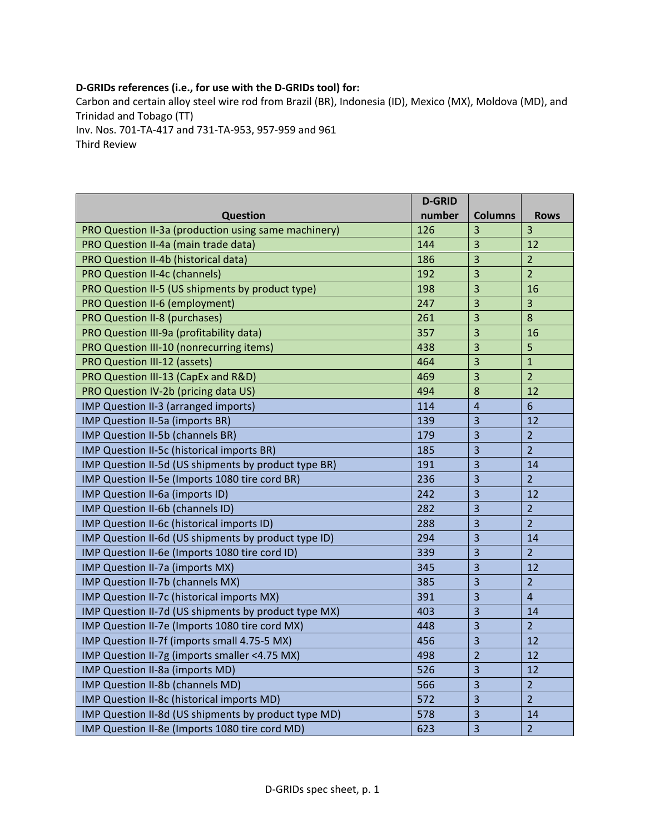## **D‐GRIDs references (i.e., for use with the D‐GRIDs tool) for:**

Carbon and certain alloy steel wire rod from Brazil (BR), Indonesia (ID), Mexico (MX), Moldova (MD), and Trinidad and Tobago (TT) Inv. Nos. 701‐TA‐417 and 731‐TA‐953, 957‐959 and 961

Third Review

|                                                      | <b>D-GRID</b> |                         |                |
|------------------------------------------------------|---------------|-------------------------|----------------|
| <b>Question</b>                                      | number        | <b>Columns</b>          | <b>Rows</b>    |
| PRO Question II-3a (production using same machinery) | 126           | 3                       | 3              |
| PRO Question II-4a (main trade data)                 | 144           | 3                       | 12             |
| PRO Question II-4b (historical data)                 | 186           | 3                       | $\overline{2}$ |
| <b>PRO Question II-4c (channels)</b>                 | 192           | 3                       | $\overline{2}$ |
| PRO Question II-5 (US shipments by product type)     | 198           | 3                       | 16             |
| PRO Question II-6 (employment)                       | 247           | 3                       | $\overline{3}$ |
| <b>PRO Question II-8 (purchases)</b>                 | 261           | 3                       | 8              |
| PRO Question III-9a (profitability data)             | 357           | 3                       | 16             |
| PRO Question III-10 (nonrecurring items)             | 438           | 3                       | 5              |
| <b>PRO Question III-12 (assets)</b>                  | 464           | 3                       | $\mathbf{1}$   |
| PRO Question III-13 (CapEx and R&D)                  | 469           | 3                       | $\overline{2}$ |
| PRO Question IV-2b (pricing data US)                 | 494           | 8                       | 12             |
| IMP Question II-3 (arranged imports)                 | 114           | 4                       | 6              |
| IMP Question II-5a (imports BR)                      | 139           | 3                       | 12             |
| IMP Question II-5b (channels BR)                     | 179           | 3                       | $\overline{2}$ |
| IMP Question II-5c (historical imports BR)           | 185           | 3                       | $\overline{2}$ |
| IMP Question II-5d (US shipments by product type BR) | 191           | 3                       | 14             |
| IMP Question II-5e (Imports 1080 tire cord BR)       | 236           | 3                       | $\overline{2}$ |
| IMP Question II-6a (imports ID)                      | 242           | 3                       | 12             |
| IMP Question II-6b (channels ID)                     | 282           | 3                       | $\overline{2}$ |
| IMP Question II-6c (historical imports ID)           | 288           | 3                       | $\overline{2}$ |
| IMP Question II-6d (US shipments by product type ID) | 294           | 3                       | 14             |
| IMP Question II-6e (Imports 1080 tire cord ID)       | 339           | $\overline{3}$          | $\overline{2}$ |
| IMP Question II-7a (imports MX)                      | 345           | 3                       | 12             |
| IMP Question II-7b (channels MX)                     | 385           | 3                       | $\overline{2}$ |
| IMP Question II-7c (historical imports MX)           | 391           | 3                       | $\overline{4}$ |
| IMP Question II-7d (US shipments by product type MX) | 403           | 3                       | 14             |
| IMP Question II-7e (Imports 1080 tire cord MX)       | 448           | 3                       | $\overline{2}$ |
| IMP Question II-7f (imports small 4.75-5 MX)         | 456           | 3                       | 12             |
| IMP Question II-7g (imports smaller <4.75 MX)        | 498           | $\overline{2}$          | 12             |
| IMP Question II-8a (imports MD)                      | 526           | 3                       | 12             |
| IMP Question II-8b (channels MD)                     | 566           | 3                       | $\overline{2}$ |
| IMP Question II-8c (historical imports MD)           | 572           | 3                       | $\overline{2}$ |
| IMP Question II-8d (US shipments by product type MD) | 578           | 3                       | 14             |
| IMP Question II-8e (Imports 1080 tire cord MD)       | 623           | $\overline{\mathbf{3}}$ | $\overline{2}$ |